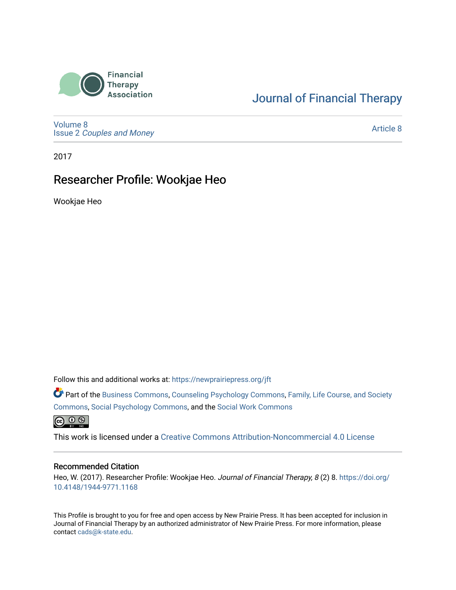

## [Journal of Financial Therapy](https://newprairiepress.org/jft)

[Volume 8](https://newprairiepress.org/jft/vol8) Issue 2 [Couples and Money](https://newprairiepress.org/jft/vol8/iss2)

[Article 8](https://newprairiepress.org/jft/vol8/iss2/8) 

2017

### Researcher Profile: Wookjae Heo

Wookjae Heo

Follow this and additional works at: [https://newprairiepress.org/jft](https://newprairiepress.org/jft?utm_source=newprairiepress.org%2Fjft%2Fvol8%2Fiss2%2F8&utm_medium=PDF&utm_campaign=PDFCoverPages)

Part of the [Business Commons](http://network.bepress.com/hgg/discipline/622?utm_source=newprairiepress.org%2Fjft%2Fvol8%2Fiss2%2F8&utm_medium=PDF&utm_campaign=PDFCoverPages), [Counseling Psychology Commons,](http://network.bepress.com/hgg/discipline/1044?utm_source=newprairiepress.org%2Fjft%2Fvol8%2Fiss2%2F8&utm_medium=PDF&utm_campaign=PDFCoverPages) [Family, Life Course, and Society](http://network.bepress.com/hgg/discipline/419?utm_source=newprairiepress.org%2Fjft%2Fvol8%2Fiss2%2F8&utm_medium=PDF&utm_campaign=PDFCoverPages)  [Commons](http://network.bepress.com/hgg/discipline/419?utm_source=newprairiepress.org%2Fjft%2Fvol8%2Fiss2%2F8&utm_medium=PDF&utm_campaign=PDFCoverPages), [Social Psychology Commons,](http://network.bepress.com/hgg/discipline/414?utm_source=newprairiepress.org%2Fjft%2Fvol8%2Fiss2%2F8&utm_medium=PDF&utm_campaign=PDFCoverPages) and the [Social Work Commons](http://network.bepress.com/hgg/discipline/713?utm_source=newprairiepress.org%2Fjft%2Fvol8%2Fiss2%2F8&utm_medium=PDF&utm_campaign=PDFCoverPages)   $\bigcirc$  0  $\circ$ 

This work is licensed under a [Creative Commons Attribution-Noncommercial 4.0 License](https://creativecommons.org/licenses/by-nc/4.0/)

#### Recommended Citation

Heo, W. (2017). Researcher Profile: Wookjae Heo. Journal of Financial Therapy, 8 (2) 8. [https://doi.org/](https://doi.org/10.4148/1944-9771.1168) [10.4148/1944-9771.1168](https://doi.org/10.4148/1944-9771.1168)

This Profile is brought to you for free and open access by New Prairie Press. It has been accepted for inclusion in Journal of Financial Therapy by an authorized administrator of New Prairie Press. For more information, please contact [cads@k-state.edu](mailto:cads@k-state.edu).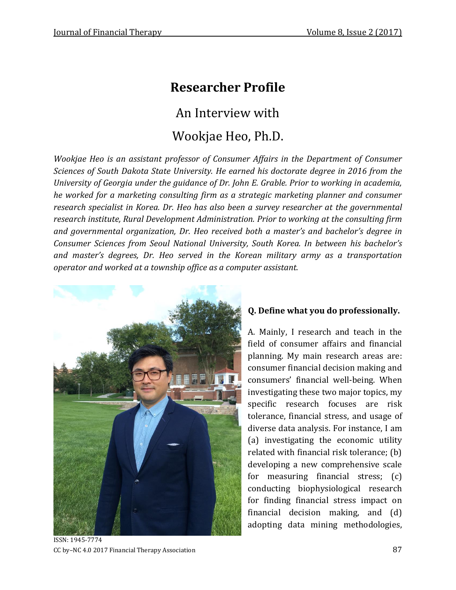# **Researcher Profile**

An Interview with

# Wookjae Heo, Ph.D.

*Wookjae Heo is an assistant professor of Consumer Affairs in the Department of Consumer Sciences of South Dakota State University. He earned his doctorate degree in 2016 from the University of Georgia under the guidance of Dr. John E. Grable. Prior to working in academia, he worked for a marketing consulting firm as a strategic marketing planner and consumer research specialist in Korea. Dr. Heo has also been a survey researcher at the governmental research institute, Rural Development Administration. Prior to working at the consulting firm and governmental organization, Dr. Heo received both a master's and bachelor's degree in Consumer Sciences from Seoul National University, South Korea. In between his bachelor's and master's degrees, Dr. Heo served in the Korean military army as a transportation operator and worked at a township office as a computer assistant.* 



**Q. Define what you do professionally.**

A. Mainly, I research and teach in the field of consumer affairs and financial planning. My main research areas are: consumer financial decision making and consumers' financial well-being. When investigating these two major topics, my specific research focuses are risk tolerance, financial stress, and usage of diverse data analysis. For instance, I am (a) investigating the economic utility related with financial risk tolerance; (b) developing a new comprehensive scale for measuring financial stress; (c) conducting biophysiological research for finding financial stress impact on financial decision making, and (d) adopting data mining methodologies,

ISSN: 1945-7774 CC by–NC 4.0 2017 Financial Therapy Association 87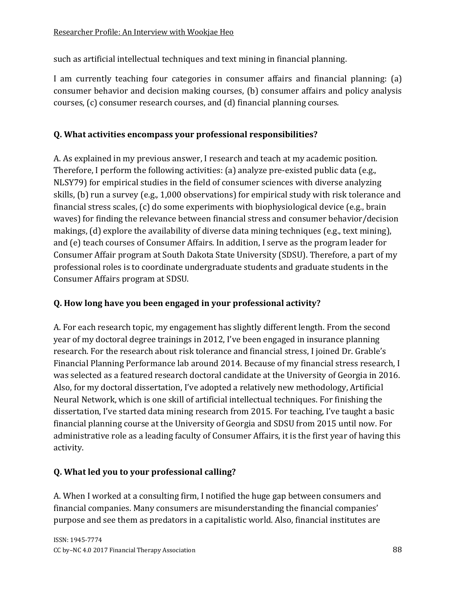such as artificial intellectual techniques and text mining in financial planning.

I am currently teaching four categories in consumer affairs and financial planning: (a) consumer behavior and decision making courses, (b) consumer affairs and policy analysis courses, (c) consumer research courses, and (d) financial planning courses.

#### **Q. What activities encompass your professional responsibilities?**

A. As explained in my previous answer, I research and teach at my academic position. Therefore, I perform the following activities: (a) analyze pre-existed public data (e.g., NLSY79) for empirical studies in the field of consumer sciences with diverse analyzing skills, (b) run a survey (e.g., 1,000 observations) for empirical study with risk tolerance and financial stress scales, (c) do some experiments with biophysiological device (e.g., brain waves) for finding the relevance between financial stress and consumer behavior/decision makings, (d) explore the availability of diverse data mining techniques (e.g., text mining), and (e) teach courses of Consumer Affairs. In addition, I serve as the program leader for Consumer Affair program at South Dakota State University (SDSU). Therefore, a part of my professional roles is to coordinate undergraduate students and graduate students in the Consumer Affairs program at SDSU.

#### **Q. How long have you been engaged in your professional activity?**

A. For each research topic, my engagement has slightly different length. From the second year of my doctoral degree trainings in 2012, I've been engaged in insurance planning research. For the research about risk tolerance and financial stress, I joined Dr. Grable's Financial Planning Performance lab around 2014. Because of my financial stress research, I was selected as a featured research doctoral candidate at the University of Georgia in 2016. Also, for my doctoral dissertation, I've adopted a relatively new methodology, Artificial Neural Network, which is one skill of artificial intellectual techniques. For finishing the dissertation, I've started data mining research from 2015. For teaching, I've taught a basic financial planning course at the University of Georgia and SDSU from 2015 until now. For administrative role as a leading faculty of Consumer Affairs, it is the first year of having this activity.

#### **Q. What led you to your professional calling?**

A. When I worked at a consulting firm, I notified the huge gap between consumers and financial companies. Many consumers are misunderstanding the financial companies' purpose and see them as predators in a capitalistic world. Also, financial institutes are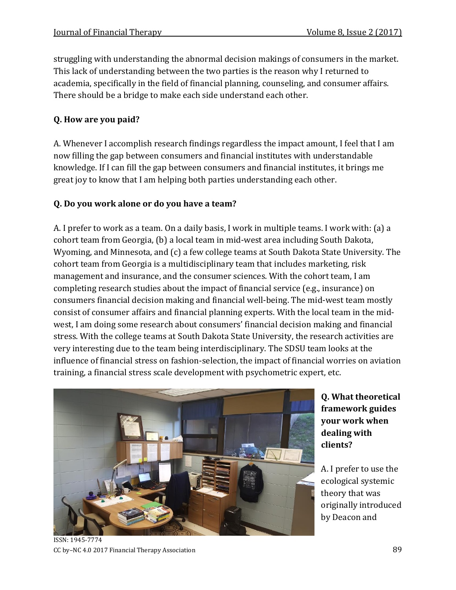struggling with understanding the abnormal decision makings of consumers in the market. This lack of understanding between the two parties is the reason why I returned to academia, specifically in the field of financial planning, counseling, and consumer affairs. There should be a bridge to make each side understand each other.

### **Q. How are you paid?**

A. Whenever I accomplish research findings regardless the impact amount, I feel that I am now filling the gap between consumers and financial institutes with understandable knowledge. If I can fill the gap between consumers and financial institutes, it brings me great joy to know that I am helping both parties understanding each other.

#### **Q. Do you work alone or do you have a team?**

A. I prefer to work as a team. On a daily basis, I work in multiple teams. I work with: (a) a cohort team from Georgia, (b) a local team in mid-west area including South Dakota, Wyoming, and Minnesota, and (c) a few college teams at South Dakota State University. The cohort team from Georgia is a multidisciplinary team that includes marketing, risk management and insurance, and the consumer sciences. With the cohort team, I am completing research studies about the impact of financial service (e.g., insurance) on consumers financial decision making and financial well-being. The mid-west team mostly consist of consumer affairs and financial planning experts. With the local team in the midwest, I am doing some research about consumers' financial decision making and financial stress. With the college teams at South Dakota State University, the research activities are very interesting due to the team being interdisciplinary. The SDSU team looks at the influence of financial stress on fashion-selection, the impact of financial worries on aviation training, a financial stress scale development with psychometric expert, etc.



**Q. What theoretical framework guides your work when dealing with clients?**

A. I prefer to use the ecological systemic theory that was originally introduced by Deacon and

ISSN: 1945-7774 CC by–NC 4.0 2017 Financial Therapy Association 89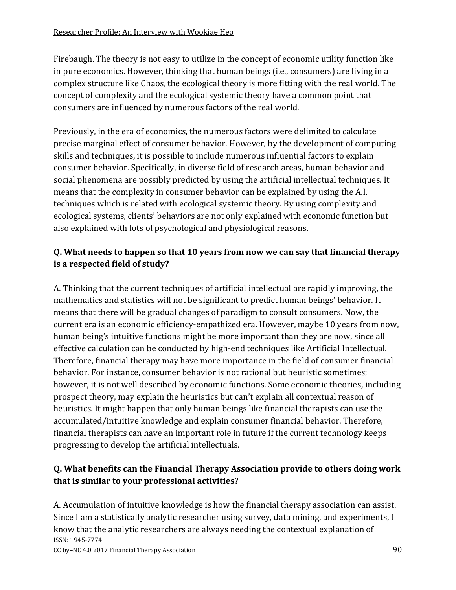Firebaugh. The theory is not easy to utilize in the concept of economic utility function like in pure economics. However, thinking that human beings (i.e., consumers) are living in a complex structure like Chaos, the ecological theory is more fitting with the real world. The concept of complexity and the ecological systemic theory have a common point that consumers are influenced by numerous factors of the real world.

Previously, in the era of economics, the numerous factors were delimited to calculate precise marginal effect of consumer behavior. However, by the development of computing skills and techniques, it is possible to include numerous influential factors to explain consumer behavior. Specifically, in diverse field of research areas, human behavior and social phenomena are possibly predicted by using the artificial intellectual techniques. It means that the complexity in consumer behavior can be explained by using the A.I. techniques which is related with ecological systemic theory. By using complexity and ecological systems, clients' behaviors are not only explained with economic function but also explained with lots of psychological and physiological reasons.

### **Q. What needs to happen so that 10 years from now we can say that financial therapy is a respected field of study?**

A. Thinking that the current techniques of artificial intellectual are rapidly improving, the mathematics and statistics will not be significant to predict human beings' behavior. It means that there will be gradual changes of paradigm to consult consumers. Now, the current era is an economic efficiency-empathized era. However, maybe 10 years from now, human being's intuitive functions might be more important than they are now, since all effective calculation can be conducted by high-end techniques like Artificial Intellectual. Therefore, financial therapy may have more importance in the field of consumer financial behavior. For instance, consumer behavior is not rational but heuristic sometimes; however, it is not well described by economic functions. Some economic theories, including prospect theory, may explain the heuristics but can't explain all contextual reason of heuristics. It might happen that only human beings like financial therapists can use the accumulated/intuitive knowledge and explain consumer financial behavior. Therefore, financial therapists can have an important role in future if the current technology keeps progressing to develop the artificial intellectuals.

#### **Q. What benefits can the Financial Therapy Association provide to others doing work that is similar to your professional activities?**

ISSN: 1945-7774 A. Accumulation of intuitive knowledge is how the financial therapy association can assist. Since I am a statistically analytic researcher using survey, data mining, and experiments, I know that the analytic researchers are always needing the contextual explanation of